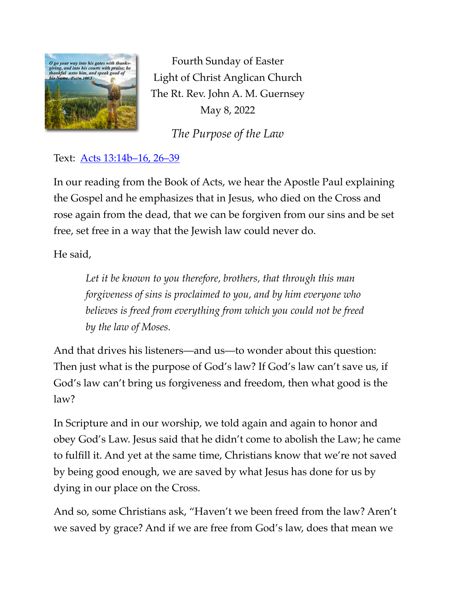

Fourth Sunday of Easter Light of Christ Anglican Church The Rt. Rev. John A. M. Guernsey May 8, 2022

*The Purpose of the Law*

Text: **Acts** 13:14b-16, 26-39

In our reading from the Book of Acts, we hear the Apostle Paul explaining the Gospel and he emphasizes that in Jesus, who died on the Cross and rose again from the dead, that we can be forgiven from our sins and be set free, set free in a way that the Jewish law could never do.

He said,

*Let it be known to you therefore, brothers, that through this man forgiveness of sins is proclaimed to you, and by him everyone who believes is freed from everything from which you could not be freed by the law of Moses.*

And that drives his listeners—and us—to wonder about this question: Then just what is the purpose of God's law? If God's law can't save us, if God's law can't bring us forgiveness and freedom, then what good is the law?

In Scripture and in our worship, we told again and again to honor and obey God's Law. Jesus said that he didn't come to abolish the Law; he came to fulfill it. And yet at the same time, Christians know that we're not saved by being good enough, we are saved by what Jesus has done for us by dying in our place on the Cross.

And so, some Christians ask, "Haven't we been freed from the law? Aren't we saved by grace? And if we are free from God's law, does that mean we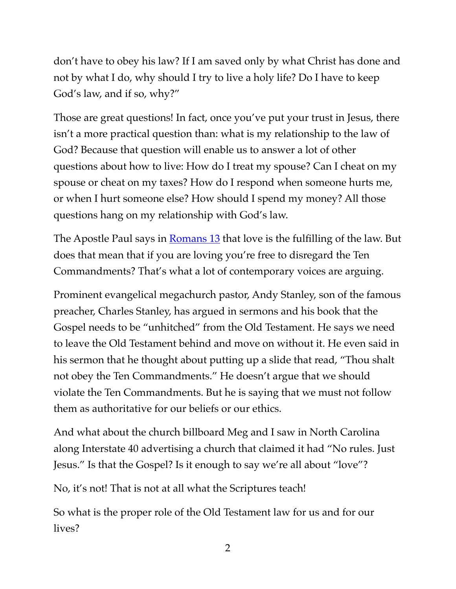don't have to obey his law? If I am saved only by what Christ has done and not by what I do, why should I try to live a holy life? Do I have to keep God's law, and if so, why?"

Those are great questions! In fact, once you've put your trust in Jesus, there isn't a more practical question than: what is my relationship to the law of God? Because that question will enable us to answer a lot of other questions about how to live: How do I treat my spouse? Can I cheat on my spouse or cheat on my taxes? How do I respond when someone hurts me, or when I hurt someone else? How should I spend my money? All those questions hang on my relationship with God's law.

The Apostle Paul says in **[Romans 13](https://www.biblegateway.com/passage/?search=Romans%2013:1-5&version=ESV)** that love is the fulfilling of the law. But does that mean that if you are loving you're free to disregard the Ten Commandments? That's what a lot of contemporary voices are arguing.

Prominent evangelical megachurch pastor, Andy Stanley, son of the famous preacher, Charles Stanley, has argued in sermons and his book that the Gospel needs to be "unhitched" from the Old Testament. He says we need to leave the Old Testament behind and move on without it. He even said in his sermon that he thought about putting up a slide that read, "Thou shalt not obey the Ten Commandments." He doesn't argue that we should violate the Ten Commandments. But he is saying that we must not follow them as authoritative for our beliefs or our ethics.

And what about the church billboard Meg and I saw in North Carolina along Interstate 40 advertising a church that claimed it had "No rules. Just Jesus." Is that the Gospel? Is it enough to say we're all about "love"?

No, it's not! That is not at all what the Scriptures teach!

So what is the proper role of the Old Testament law for us and for our lives?

2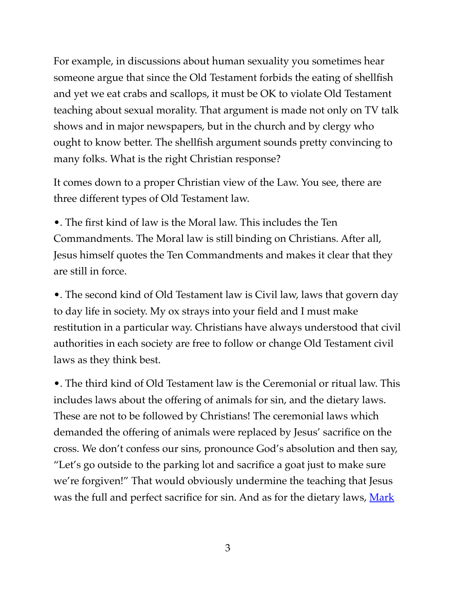For example, in discussions about human sexuality you sometimes hear someone argue that since the Old Testament forbids the eating of shellfish and yet we eat crabs and scallops, it must be OK to violate Old Testament teaching about sexual morality. That argument is made not only on TV talk shows and in major newspapers, but in the church and by clergy who ought to know better. The shellfish argument sounds pretty convincing to many folks. What is the right Christian response?

It comes down to a proper Christian view of the Law. You see, there are three different types of Old Testament law.

•. The first kind of law is the Moral law. This includes the Ten Commandments. The Moral law is still binding on Christians. After all, Jesus himself quotes the Ten Commandments and makes it clear that they are still in force.

•. The second kind of Old Testament law is Civil law, laws that govern day to day life in society. My ox strays into your field and I must make restitution in a particular way. Christians have always understood that civil authorities in each society are free to follow or change Old Testament civil laws as they think best.

•. The third kind of Old Testament law is the Ceremonial or ritual law. This includes laws about the offering of animals for sin, and the dietary laws. These are not to be followed by Christians! The ceremonial laws which demanded the offering of animals were replaced by Jesus' sacrifice on the cross. We don't confess our sins, pronounce God's absolution and then say, "Let's go outside to the parking lot and sacrifice a goat just to make sure we're forgiven!" That would obviously undermine the teaching that Jesus was the full and perfect sacrifice for sin. And as for the dietary laws, Mark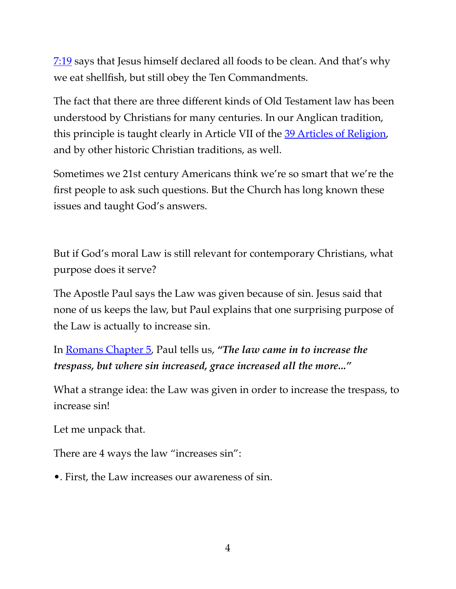[7:19](https://www.biblegateway.com/passage/?search=Mark+7:17-19&version=ESV) says that Jesus himself declared all foods to be clean. And that's why we eat shellfish, but still obey the Ten Commandments.

The fact that there are three different kinds of Old Testament law has been understood by Christians for many centuries. In our Anglican tradition, this principle is taught clearly in Article VII of the [39 Articles of Religion](http://anglicansonline.org/basics/thirty-nine_articles.html), and by other historic Christian traditions, as well.

Sometimes we 21st century Americans think we're so smart that we're the first people to ask such questions. But the Church has long known these issues and taught God's answers.

But if God's moral Law is still relevant for contemporary Christians, what purpose does it serve?

The Apostle Paul says the Law was given because of sin. Jesus said that none of us keeps the law, but Paul explains that one surprising purpose of the Law is actually to increase sin.

In [Romans Chapter 5](https://www.biblegateway.com/passage/?search=Romans+5:20%E2%80%9321&version=ESV), Paul tells us, *"The law came in to increase the trespass, but where sin increased, grace increased all the more..."*

What a strange idea: the Law was given in order to increase the trespass, to increase sin!

Let me unpack that.

There are 4 ways the law "increases sin":

•. First, the Law increases our awareness of sin.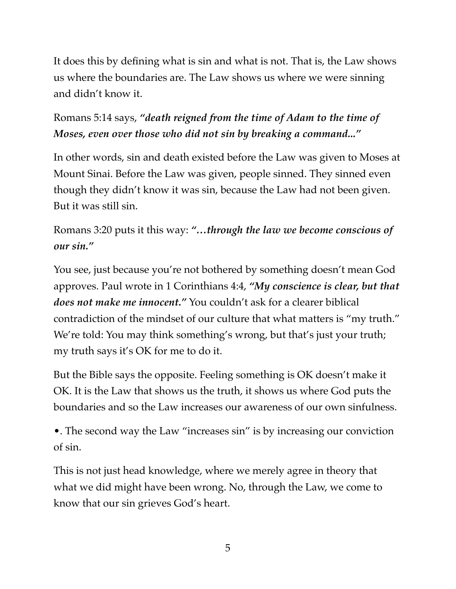It does this by defining what is sin and what is not. That is, the Law shows us where the boundaries are. The Law shows us where we were sinning and didn't know it.

## Romans 5:14 says, *"death reigned from the time of Adam to the time of Moses, even over those who did not sin by breaking a command..."*

In other words, sin and death existed before the Law was given to Moses at Mount Sinai. Before the Law was given, people sinned. They sinned even though they didn't know it was sin, because the Law had not been given. But it was still sin.

## Romans 3:20 puts it this way: *"…through the law we become conscious of our sin."*

You see, just because you're not bothered by something doesn't mean God approves. Paul wrote in 1 Corinthians 4:4, *"My conscience is clear, but that does not make me innocent."* You couldn't ask for a clearer biblical contradiction of the mindset of our culture that what matters is "my truth." We're told: You may think something's wrong, but that's just your truth; my truth says it's OK for me to do it.

But the Bible says the opposite. Feeling something is OK doesn't make it OK. It is the Law that shows us the truth, it shows us where God puts the boundaries and so the Law increases our awareness of our own sinfulness.

•. The second way the Law "increases sin" is by increasing our conviction of sin.

This is not just head knowledge, where we merely agree in theory that what we did might have been wrong. No, through the Law, we come to know that our sin grieves God's heart.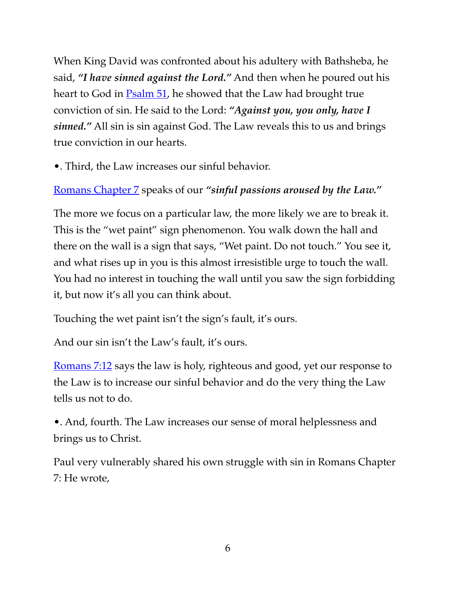When King David was confronted about his adultery with Bathsheba, he said, *"I have sinned against the Lord."* And then when he poured out his heart to God in **Psalm 51**, he showed that the Law had brought true conviction of sin. He said to the Lord: *"Against you, you only, have I sinned."* All sin is sin against God. The Law reveals this to us and brings true conviction in our hearts.

•. Third, the Law increases our sinful behavior.

## [Romans Chapter 7](https://www.biblegateway.com/passage/?search=Romans+7:5%E2%80%936&version=ESV) speaks of our *"sinful passions aroused by the Law."*

The more we focus on a particular law, the more likely we are to break it. This is the "wet paint" sign phenomenon. You walk down the hall and there on the wall is a sign that says, "Wet paint. Do not touch." You see it, and what rises up in you is this almost irresistible urge to touch the wall. You had no interest in touching the wall until you saw the sign forbidding it, but now it's all you can think about.

Touching the wet paint isn't the sign's fault, it's ours.

And our sin isn't the Law's fault, it's ours.

[Romans 7:12](https://www.biblegateway.com/passage/?search=Romans+7&version=ESV) says the law is holy, righteous and good, yet our response to the Law is to increase our sinful behavior and do the very thing the Law tells us not to do.

•. And, fourth. The Law increases our sense of moral helplessness and brings us to Christ.

Paul very vulnerably shared his own struggle with sin in Romans Chapter 7: He wrote,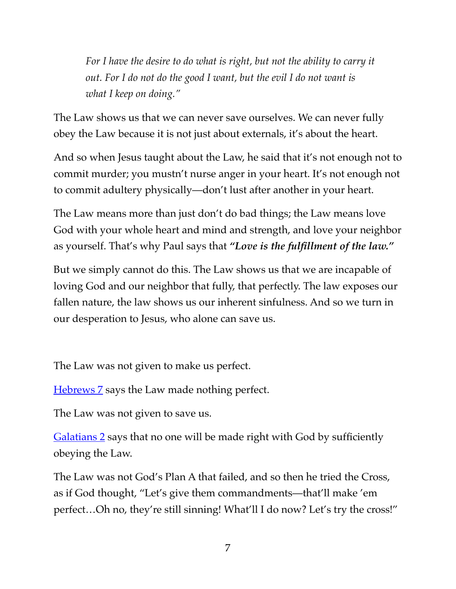*For I have the desire to do what is right, but not the ability to carry it out. For I do not do the good I want, but the evil I do not want is what I keep on doing."*

The Law shows us that we can never save ourselves. We can never fully obey the Law because it is not just about externals, it's about the heart.

And so when Jesus taught about the Law, he said that it's not enough not to commit murder; you mustn't nurse anger in your heart. It's not enough not to commit adultery physically—don't lust after another in your heart.

The Law means more than just don't do bad things; the Law means love God with your whole heart and mind and strength, and love your neighbor as yourself. That's why Paul says that *"Love is the fulfillment of the law."*

But we simply cannot do this. The Law shows us that we are incapable of loving God and our neighbor that fully, that perfectly. The law exposes our fallen nature, the law shows us our inherent sinfulness. And so we turn in our desperation to Jesus, who alone can save us.

The Law was not given to make us perfect.

[Hebrews 7](https://www.biblegateway.com/passage/?search=Hebrews+7:18%E2%80%9319&version=ESV) says the Law made nothing perfect.

The Law was not given to save us.

[Galatians 2](https://www.biblegateway.com/passage/?search=Galatians+2:15%E2%80%9316&version=ESV) says that no one will be made right with God by sufficiently obeying the Law.

The Law was not God's Plan A that failed, and so then he tried the Cross, as if God thought, "Let's give them commandments—that'll make 'em perfect…Oh no, they're still sinning! What'll I do now? Let's try the cross!"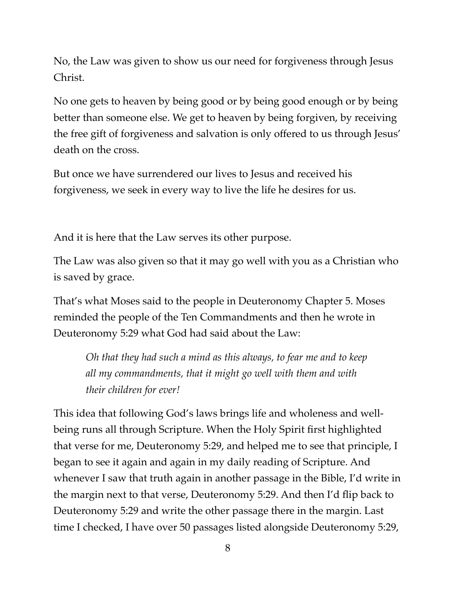No, the Law was given to show us our need for forgiveness through Jesus Christ.

No one gets to heaven by being good or by being good enough or by being better than someone else. We get to heaven by being forgiven, by receiving the free gift of forgiveness and salvation is only offered to us through Jesus' death on the cross.

But once we have surrendered our lives to Jesus and received his forgiveness, we seek in every way to live the life he desires for us.

And it is here that the Law serves its other purpose.

The Law was also given so that it may go well with you as a Christian who is saved by grace.

That's what Moses said to the people in Deuteronomy Chapter 5. Moses reminded the people of the Ten Commandments and then he wrote in Deuteronomy 5:29 what God had said about the Law:

*Oh that they had such a mind as this always, to fear me and to keep all my commandments, that it might go well with them and with their children for ever!*

This idea that following God's laws brings life and wholeness and wellbeing runs all through Scripture. When the Holy Spirit first highlighted that verse for me, Deuteronomy 5:29, and helped me to see that principle, I began to see it again and again in my daily reading of Scripture. And whenever I saw that truth again in another passage in the Bible, I'd write in the margin next to that verse, Deuteronomy 5:29. And then I'd flip back to Deuteronomy 5:29 and write the other passage there in the margin. Last time I checked, I have over 50 passages listed alongside Deuteronomy 5:29,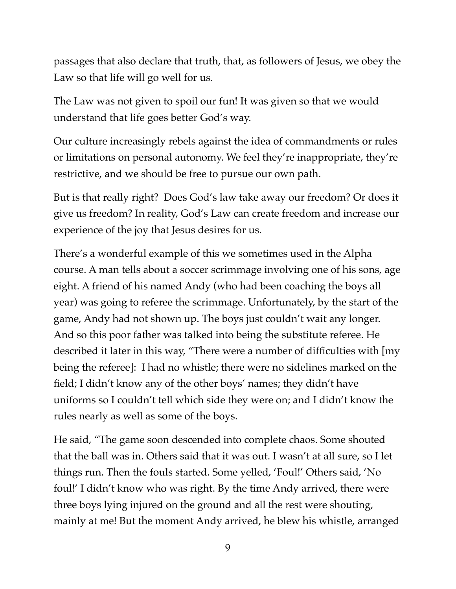passages that also declare that truth, that, as followers of Jesus, we obey the Law so that life will go well for us.

The Law was not given to spoil our fun! It was given so that we would understand that life goes better God's way.

Our culture increasingly rebels against the idea of commandments or rules or limitations on personal autonomy. We feel they're inappropriate, they're restrictive, and we should be free to pursue our own path.

But is that really right? Does God's law take away our freedom? Or does it give us freedom? In reality, God's Law can create freedom and increase our experience of the joy that Jesus desires for us.

There's a wonderful example of this we sometimes used in the Alpha course. A man tells about a soccer scrimmage involving one of his sons, age eight. A friend of his named Andy (who had been coaching the boys all year) was going to referee the scrimmage. Unfortunately, by the start of the game, Andy had not shown up. The boys just couldn't wait any longer. And so this poor father was talked into being the substitute referee. He described it later in this way, "There were a number of difficulties with [my being the referee]: I had no whistle; there were no sidelines marked on the field; I didn't know any of the other boys' names; they didn't have uniforms so I couldn't tell which side they were on; and I didn't know the rules nearly as well as some of the boys.

He said, "The game soon descended into complete chaos. Some shouted that the ball was in. Others said that it was out. I wasn't at all sure, so I let things run. Then the fouls started. Some yelled, 'Foul!' Others said, 'No foul!' I didn't know who was right. By the time Andy arrived, there were three boys lying injured on the ground and all the rest were shouting, mainly at me! But the moment Andy arrived, he blew his whistle, arranged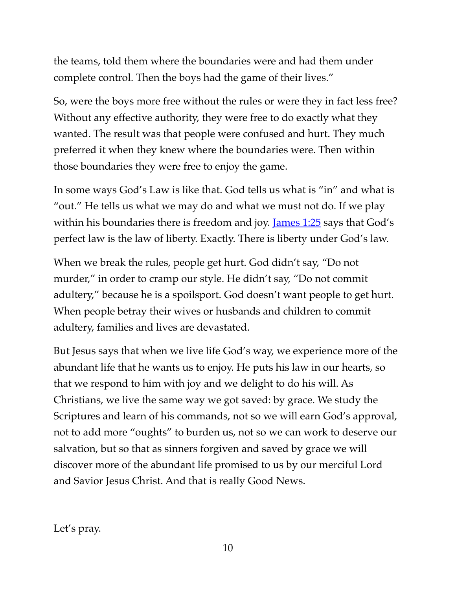the teams, told them where the boundaries were and had them under complete control. Then the boys had the game of their lives."

So, were the boys more free without the rules or were they in fact less free? Without any effective authority, they were free to do exactly what they wanted. The result was that people were confused and hurt. They much preferred it when they knew where the boundaries were. Then within those boundaries they were free to enjoy the game.

In some ways God's Law is like that. God tells us what is "in" and what is "out." He tells us what we may do and what we must not do. If we play within his boundaries there is freedom and joy. <u>James 1:25</u> says that God's perfect law is the law of liberty. Exactly. There is liberty under God's law.

When we break the rules, people get hurt. God didn't say, "Do not murder," in order to cramp our style. He didn't say, "Do not commit adultery," because he is a spoilsport. God doesn't want people to get hurt. When people betray their wives or husbands and children to commit adultery, families and lives are devastated.

But Jesus says that when we live life God's way, we experience more of the abundant life that he wants us to enjoy. He puts his law in our hearts, so that we respond to him with joy and we delight to do his will. As Christians, we live the same way we got saved: by grace. We study the Scriptures and learn of his commands, not so we will earn God's approval, not to add more "oughts" to burden us, not so we can work to deserve our salvation, but so that as sinners forgiven and saved by grace we will discover more of the abundant life promised to us by our merciful Lord and Savior Jesus Christ. And that is really Good News.

Let's pray.